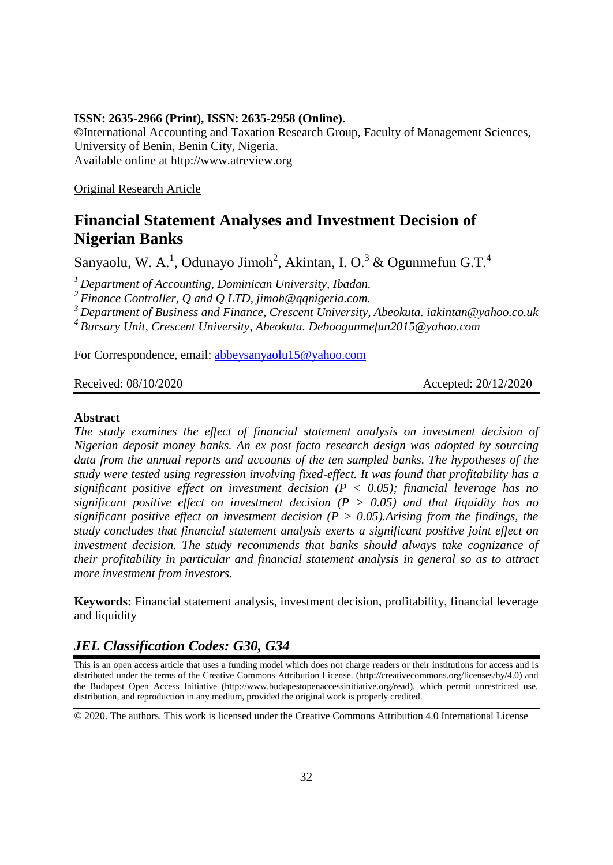#### **ISSN: 2635-2966 (Print), ISSN: 2635-2958 (Online).**

**©**International Accounting and Taxation Research Group, Faculty of Management Sciences, University of Benin, Benin City, Nigeria. Available online at http://www.atreview.org

Original Research Article

# **Financial Statement Analyses and Investment Decision of Nigerian Banks**

Sanyaolu, W. A.<sup>1</sup>, Odunayo Jimoh<sup>2</sup>, Akintan, I. O.<sup>3</sup> & Ogunmefun G.T.<sup>4</sup>

*<sup>1</sup>Department of Accounting, Dominican University, Ibadan.* 

*<sup>2</sup>Finance Controller, Q and Q LTD, jimoh@qqnigeria.com.*

*<sup>3</sup>Department of Business and Finance, Crescent University, Abeokuta. iakintan@yahoo.co.uk <sup>4</sup>Bursary Unit, Crescent University, Abeokuta. Deboogunmefun2015@yahoo.com*

For Correspondence, email: [abbeysanyaolu15@yahoo.com](mailto:abbeysanyaolu15@yahoo.com)

Received: 08/10/2020 **Accepted: 20/12/2020** 

#### **Abstract**

*The study examines the effect of financial statement analysis on investment decision of Nigerian deposit money banks. An ex post facto research design was adopted by sourcing data from the annual reports and accounts of the ten sampled banks. The hypotheses of the study were tested using regression involving fixed-effect. It was found that profitability has a significant positive effect on investment decision (P < 0.05); financial leverage has no significant positive effect on investment decision (P > 0.05) and that liquidity has no significant positive effect on investment decision (P*  $> 0.05$ *). Arising from the findings, the study concludes that financial statement analysis exerts a significant positive joint effect on investment decision. The study recommends that banks should always take cognizance of their profitability in particular and financial statement analysis in general so as to attract more investment from investors.* 

**Keywords:** Financial statement analysis, investment decision, profitability, financial leverage and liquidity

# *JEL Classification Codes: G30, G34*

This is an open access article that uses a funding model which does not charge readers or their institutions for access and is distributed under the terms of the Creative Commons Attribution License. (http://creativecommons.org/licenses/by/4.0) and the Budapest Open Access Initiative (http://www.budapestopenaccessinitiative.org/read), which permit unrestricted use, distribution, and reproduction in any medium, provided the original work is properly credited.

© 2020. The authors. This work is licensed under the Creative Commons Attribution 4.0 International License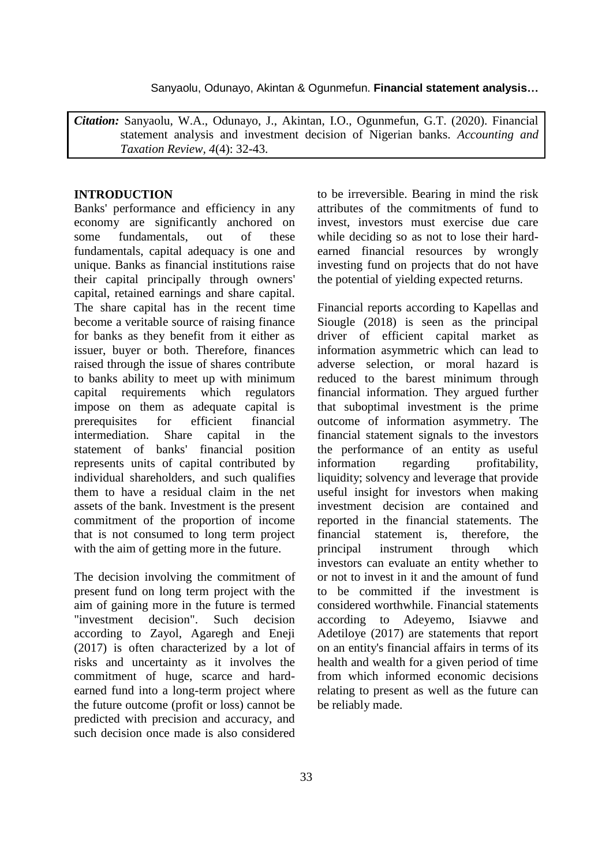Sanyaolu, Odunayo, Akintan & Ogunmefun. **Financial statement analysis…**

*Citation:* Sanyaolu, W.A., Odunayo, J., Akintan, I.O., Ogunmefun, G.T. (2020). Financial statement analysis and investment decision of Nigerian banks. *Accounting and Taxation Review, 4*(4): 32-43.

#### **INTRODUCTION**

Banks' performance and efficiency in any economy are significantly anchored on some fundamentals, out of these fundamentals, capital adequacy is one and unique. Banks as financial institutions raise their capital principally through owners' capital, retained earnings and share capital. The share capital has in the recent time become a veritable source of raising finance for banks as they benefit from it either as issuer, buyer or both. Therefore, finances raised through the issue of shares contribute to banks ability to meet up with minimum capital requirements which regulators impose on them as adequate capital is prerequisites for efficient financial intermediation. Share capital in the statement of banks' financial position represents units of capital contributed by individual shareholders, and such qualifies them to have a residual claim in the net assets of the bank. Investment is the present commitment of the proportion of income that is not consumed to long term project with the aim of getting more in the future.

The decision involving the commitment of present fund on long term project with the aim of gaining more in the future is termed "investment decision". Such decision according to Zayol, Agaregh and Eneji (2017) is often characterized by a lot of risks and uncertainty as it involves the commitment of huge, scarce and hardearned fund into a long-term project where the future outcome (profit or loss) cannot be predicted with precision and accuracy, and such decision once made is also considered

to be irreversible. Bearing in mind the risk attributes of the commitments of fund to invest, investors must exercise due care while deciding so as not to lose their hardearned financial resources by wrongly investing fund on projects that do not have the potential of yielding expected returns.

Financial reports according to Kapellas and Siougle (2018) is seen as the principal driver of efficient capital market as information asymmetric which can lead to adverse selection, or moral hazard is reduced to the barest minimum through financial information. They argued further that suboptimal investment is the prime outcome of information asymmetry. The financial statement signals to the investors the performance of an entity as useful information regarding profitability, liquidity; solvency and leverage that provide useful insight for investors when making investment decision are contained and reported in the financial statements. The financial statement is, therefore, the principal instrument through which investors can evaluate an entity whether to or not to invest in it and the amount of fund to be committed if the investment is considered worthwhile. Financial statements according to Adeyemo, Isiavwe and Adetiloye (2017) are statements that report on an entity's financial affairs in terms of its health and wealth for a given period of time from which informed economic decisions relating to present as well as the future can be reliably made.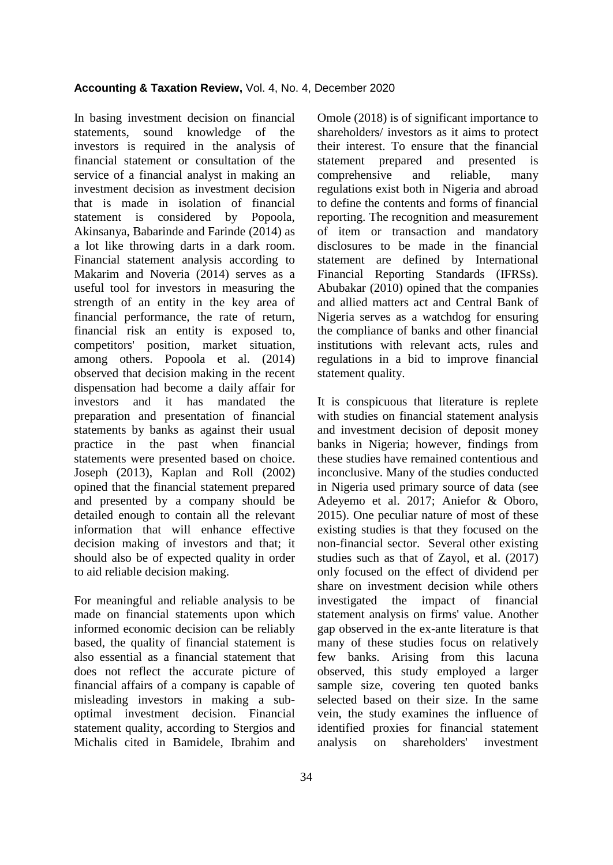In basing investment decision on financial statements, sound knowledge of the investors is required in the analysis of financial statement or consultation of the service of a financial analyst in making an investment decision as investment decision that is made in isolation of financial statement is considered by Popoola, Akinsanya, Babarinde and Farinde (2014) as a lot like throwing darts in a dark room. Financial statement analysis according to Makarim and Noveria (2014) serves as a useful tool for investors in measuring the strength of an entity in the key area of financial performance, the rate of return, financial risk an entity is exposed to, competitors' position, market situation, among others. Popoola et al. (2014) observed that decision making in the recent dispensation had become a daily affair for investors and it has mandated the preparation and presentation of financial statements by banks as against their usual practice in the past when financial statements were presented based on choice. Joseph (2013), Kaplan and Roll (2002) opined that the financial statement prepared and presented by a company should be detailed enough to contain all the relevant information that will enhance effective decision making of investors and that; it should also be of expected quality in order to aid reliable decision making.

For meaningful and reliable analysis to be made on financial statements upon which informed economic decision can be reliably based, the quality of financial statement is also essential as a financial statement that does not reflect the accurate picture of financial affairs of a company is capable of misleading investors in making a suboptimal investment decision. Financial statement quality, according to Stergios and Michalis cited in Bamidele, Ibrahim and

Omole (2018) is of significant importance to shareholders/ investors as it aims to protect their interest. To ensure that the financial statement prepared and presented is comprehensive and reliable, many regulations exist both in Nigeria and abroad to define the contents and forms of financial reporting. The recognition and measurement of item or transaction and mandatory disclosures to be made in the financial statement are defined by International Financial Reporting Standards (IFRSs). Abubakar (2010) opined that the companies and allied matters act and Central Bank of Nigeria serves as a watchdog for ensuring the compliance of banks and other financial institutions with relevant acts, rules and regulations in a bid to improve financial statement quality.

It is conspicuous that literature is replete with studies on financial statement analysis and investment decision of deposit money banks in Nigeria; however, findings from these studies have remained contentious and inconclusive. Many of the studies conducted in Nigeria used primary source of data (see Adeyemo et al. 2017; Aniefor & Oboro, 2015). One peculiar nature of most of these existing studies is that they focused on the non-financial sector. Several other existing studies such as that of Zayol, et al. (2017) only focused on the effect of dividend per share on investment decision while others investigated the impact of financial statement analysis on firms' value. Another gap observed in the ex-ante literature is that many of these studies focus on relatively few banks. Arising from this lacuna observed, this study employed a larger sample size, covering ten quoted banks selected based on their size. In the same vein, the study examines the influence of identified proxies for financial statement analysis on shareholders' investment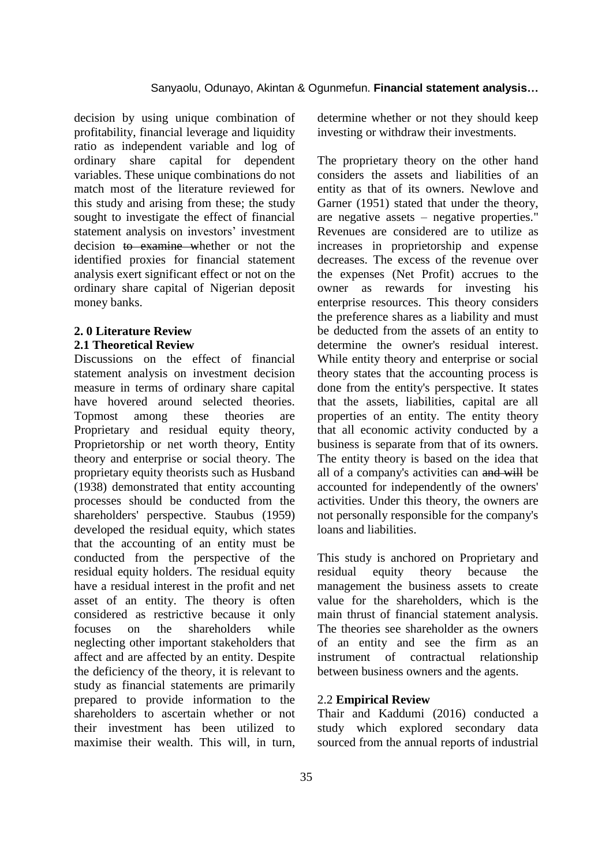decision by using unique combination of profitability, financial leverage and liquidity ratio as independent variable and log of ordinary share capital for dependent variables. These unique combinations do not match most of the literature reviewed for this study and arising from these; the study sought to investigate the effect of financial statement analysis on investors' investment decision to examine whether or not the identified proxies for financial statement analysis exert significant effect or not on the ordinary share capital of Nigerian deposit money banks.

### **2. 0 Literature Review 2.1 Theoretical Review**

Discussions on the effect of financial statement analysis on investment decision measure in terms of ordinary share capital have hovered around selected theories. Topmost among these theories are Proprietary and residual equity theory, Proprietorship or net worth theory, Entity theory and enterprise or social theory. The proprietary equity theorists such as Husband (1938) demonstrated that entity accounting processes should be conducted from the shareholders' perspective. Staubus (1959) developed the residual equity, which states that the accounting of an entity must be conducted from the perspective of the residual equity holders. The residual equity have a residual interest in the profit and net asset of an entity. The theory is often considered as restrictive because it only focuses on the shareholders while neglecting other important stakeholders that affect and are affected by an entity. Despite the deficiency of the theory, it is relevant to study as financial statements are primarily prepared to provide information to the shareholders to ascertain whether or not their investment has been utilized to maximise their wealth. This will, in turn,

determine whether or not they should keep investing or withdraw their investments.

The proprietary theory on the other hand considers the assets and liabilities of an entity as that of its owners. Newlove and Garner (1951) stated that under the theory, are negative assets – negative properties." Revenues are considered are to utilize as increases in proprietorship and expense decreases. The excess of the revenue over the expenses (Net Profit) accrues to the owner as rewards for investing his enterprise resources. This theory considers the preference shares as a liability and must be deducted from the assets of an entity to determine the owner's residual interest. While entity theory and enterprise or social theory states that the accounting process is done from the entity's perspective. It states that the assets, liabilities, capital are all properties of an entity. The entity theory that all economic activity conducted by a business is separate from that of its owners. The entity theory is based on the idea that all of a company's activities can and will be accounted for independently of the owners' activities. Under this theory, the owners are not personally responsible for the company's loans and liabilities.

This study is anchored on Proprietary and residual equity theory because the management the business assets to create value for the shareholders, which is the main thrust of financial statement analysis. The theories see shareholder as the owners of an entity and see the firm as an instrument of contractual relationship between business owners and the agents.

#### 2.2 **Empirical Review**

Thair and Kaddumi (2016) conducted a study which explored secondary data sourced from the annual reports of industrial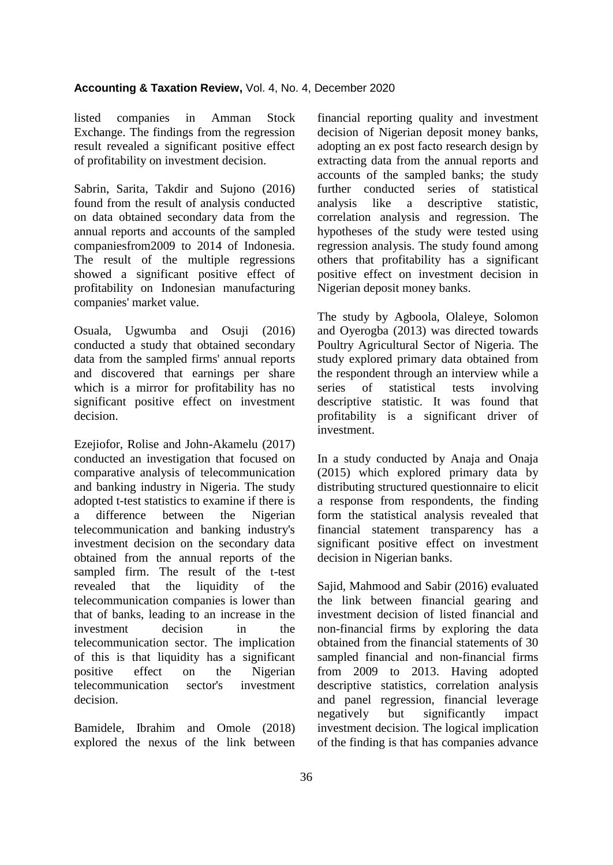listed companies in Amman Stock Exchange. The findings from the regression result revealed a significant positive effect of profitability on investment decision.

Sabrin, Sarita, Takdir and Sujono (2016) found from the result of analysis conducted on data obtained secondary data from the annual reports and accounts of the sampled companiesfrom2009 to 2014 of Indonesia. The result of the multiple regressions showed a significant positive effect of profitability on Indonesian manufacturing companies' market value.

Osuala, Ugwumba and Osuji (2016) conducted a study that obtained secondary data from the sampled firms' annual reports and discovered that earnings per share which is a mirror for profitability has no significant positive effect on investment decision.

Ezejiofor, Rolise and John-Akamelu (2017) conducted an investigation that focused on comparative analysis of telecommunication and banking industry in Nigeria. The study adopted t-test statistics to examine if there is a difference between the Nigerian telecommunication and banking industry's investment decision on the secondary data obtained from the annual reports of the sampled firm. The result of the t-test revealed that the liquidity of the telecommunication companies is lower than that of banks, leading to an increase in the investment decision in the telecommunication sector. The implication of this is that liquidity has a significant positive effect on the Nigerian telecommunication sector's investment decision.

Bamidele, Ibrahim and Omole (2018) explored the nexus of the link between

financial reporting quality and investment decision of Nigerian deposit money banks, adopting an ex post facto research design by extracting data from the annual reports and accounts of the sampled banks; the study further conducted series of statistical analysis like a descriptive statistic, correlation analysis and regression. The hypotheses of the study were tested using regression analysis. The study found among others that profitability has a significant positive effect on investment decision in Nigerian deposit money banks.

The study by Agboola, Olaleye, Solomon and Oyerogba (2013) was directed towards Poultry Agricultural Sector of Nigeria. The study explored primary data obtained from the respondent through an interview while a series of statistical tests involving descriptive statistic. It was found that profitability is a significant driver of investment.

In a study conducted by Anaja and Onaja (2015) which explored primary data by distributing structured questionnaire to elicit a response from respondents, the finding form the statistical analysis revealed that financial statement transparency has a significant positive effect on investment decision in Nigerian banks.

Sajid, Mahmood and Sabir (2016) evaluated the link between financial gearing and investment decision of listed financial and non-financial firms by exploring the data obtained from the financial statements of 30 sampled financial and non-financial firms from 2009 to 2013. Having adopted descriptive statistics, correlation analysis and panel regression, financial leverage negatively but significantly impact investment decision. The logical implication of the finding is that has companies advance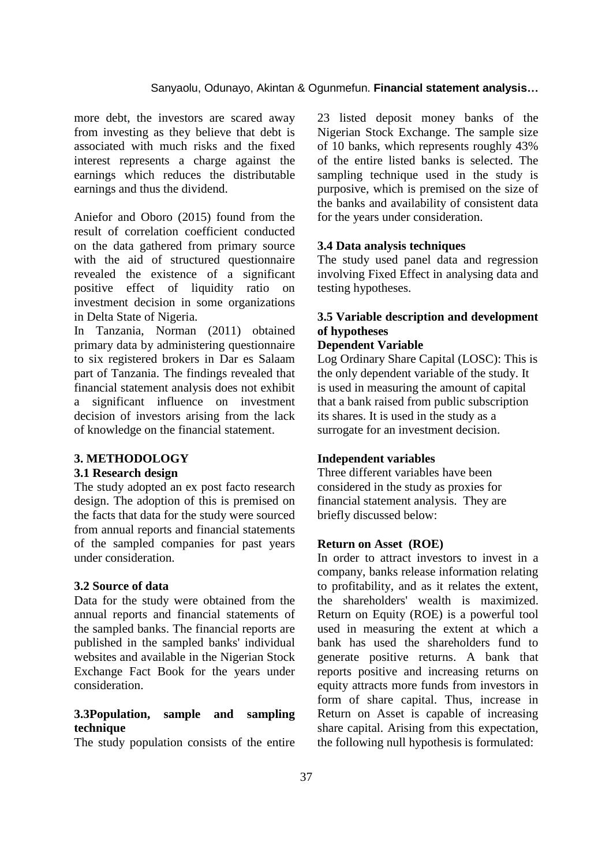more debt, the investors are scared away from investing as they believe that debt is associated with much risks and the fixed interest represents a charge against the earnings which reduces the distributable earnings and thus the dividend.

Aniefor and Oboro (2015) found from the result of correlation coefficient conducted on the data gathered from primary source with the aid of structured questionnaire revealed the existence of a significant positive effect of liquidity ratio on investment decision in some organizations in Delta State of Nigeria.

In Tanzania, Norman (2011) obtained primary data by administering questionnaire to six registered brokers in Dar es Salaam part of Tanzania. The findings revealed that financial statement analysis does not exhibit a significant influence on investment decision of investors arising from the lack of knowledge on the financial statement.

#### **3. METHODOLOGY**

#### **3.1 Research design**

The study adopted an ex post facto research design. The adoption of this is premised on the facts that data for the study were sourced from annual reports and financial statements of the sampled companies for past years under consideration.

#### **3.2 Source of data**

Data for the study were obtained from the annual reports and financial statements of the sampled banks. The financial reports are published in the sampled banks' individual websites and available in the Nigerian Stock Exchange Fact Book for the years under consideration.

### **3.3Population, sample and sampling technique**

The study population consists of the entire

23 listed deposit money banks of the Nigerian Stock Exchange. The sample size of 10 banks, which represents roughly 43% of the entire listed banks is selected. The sampling technique used in the study is purposive, which is premised on the size of the banks and availability of consistent data for the years under consideration.

#### **3.4 Data analysis techniques**

The study used panel data and regression involving Fixed Effect in analysing data and testing hypotheses.

# **3.5 Variable description and development of hypotheses**

## **Dependent Variable**

Log Ordinary Share Capital (LOSC): This is the only dependent variable of the study. It is used in measuring the amount of capital that a bank raised from public subscription its shares. It is used in the study as a surrogate for an investment decision.

#### **Independent variables**

Three different variables have been considered in the study as proxies for financial statement analysis. They are briefly discussed below:

#### **Return on Asset (ROE)**

In order to attract investors to invest in a company, banks release information relating to profitability, and as it relates the extent, the shareholders' wealth is maximized. Return on Equity (ROE) is a powerful tool used in measuring the extent at which a bank has used the shareholders fund to generate positive returns. A bank that reports positive and increasing returns on equity attracts more funds from investors in form of share capital. Thus, increase in Return on Asset is capable of increasing share capital. Arising from this expectation, the following null hypothesis is formulated: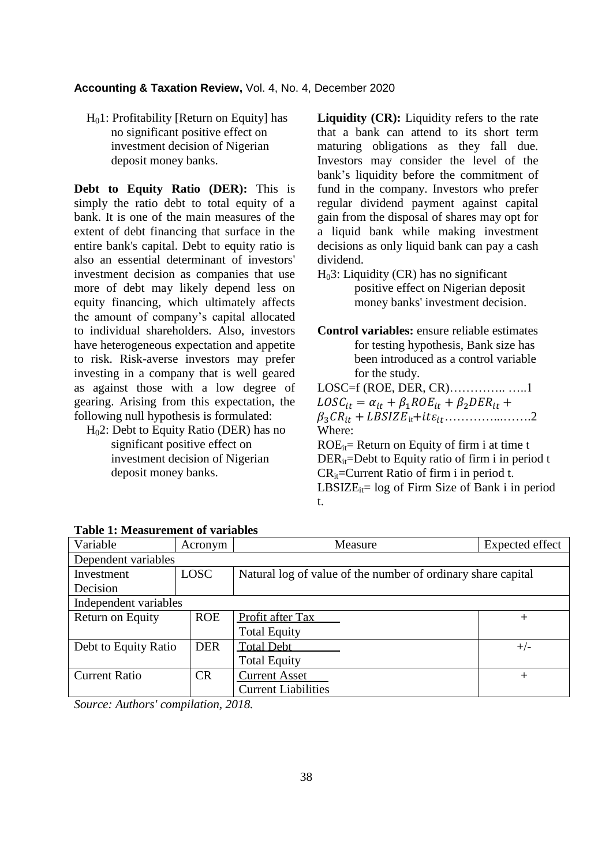$H<sub>0</sub>1$ : Profitability [Return on Equity] has no significant positive effect on investment decision of Nigerian deposit money banks.

**Debt to Equity Ratio (DER):** This is simply the ratio debt to total equity of a bank. It is one of the main measures of the extent of debt financing that surface in the entire bank's capital. Debt to equity ratio is also an essential determinant of investors' investment decision as companies that use more of debt may likely depend less on equity financing, which ultimately affects the amount of company's capital allocated to individual shareholders. Also, investors have heterogeneous expectation and appetite to risk. Risk-averse investors may prefer investing in a company that is well geared as against those with a low degree of gearing. Arising from this expectation, the following null hypothesis is formulated:

 H02: Debt to Equity Ratio (DER) has no significant positive effect on investment decision of Nigerian deposit money banks.

**Liquidity (CR):** Liquidity refers to the rate that a bank can attend to its short term maturing obligations as they fall due. Investors may consider the level of the bank's liquidity before the commitment of fund in the company. Investors who prefer regular dividend payment against capital gain from the disposal of shares may opt for a liquid bank while making investment decisions as only liquid bank can pay a cash dividend.

 $H<sub>0</sub>3$ : Liquidity (CR) has no significant positive effect on Nigerian deposit money banks' investment decision.

**Control variables:** ensure reliable estimates for testing hypothesis, Bank size has been introduced as a control variable for the study.

LOSC=f (ROE, DER, CR)………….. …..1  $LOSC_{it} = \alpha_{it} + \beta_1 ROE_{it} + \beta_2 DER_{it} +$  it …………...…….2 Where:

 $ROE_{it}$ = Return on Equity of firm i at time t  $DER_{it}$ =Debt to Equity ratio of firm i in period t  $CR_{it}$ =Current Ratio of firm i in period t.  $LBSIZE_{it} = log of Firm Size of Bank i in period$ t.

| Variable              | Acronym     | Measure                                                      | <b>Expected effect</b> |  |
|-----------------------|-------------|--------------------------------------------------------------|------------------------|--|
| Dependent variables   |             |                                                              |                        |  |
| Investment            | <b>LOSC</b> | Natural log of value of the number of ordinary share capital |                        |  |
| Decision              |             |                                                              |                        |  |
| Independent variables |             |                                                              |                        |  |
| Return on Equity      | <b>ROE</b>  | Profit after Tax                                             | $^{+}$                 |  |
|                       |             | <b>Total Equity</b>                                          |                        |  |
| Debt to Equity Ratio  | <b>DER</b>  | <b>Total Debt</b>                                            | $+/-$                  |  |
|                       |             | <b>Total Equity</b>                                          |                        |  |
| <b>Current Ratio</b>  | <b>CR</b>   | <b>Current Asset</b>                                         | $^{+}$                 |  |
|                       |             | <b>Current Liabilities</b>                                   |                        |  |

*Source: Authors' compilation, 2018.*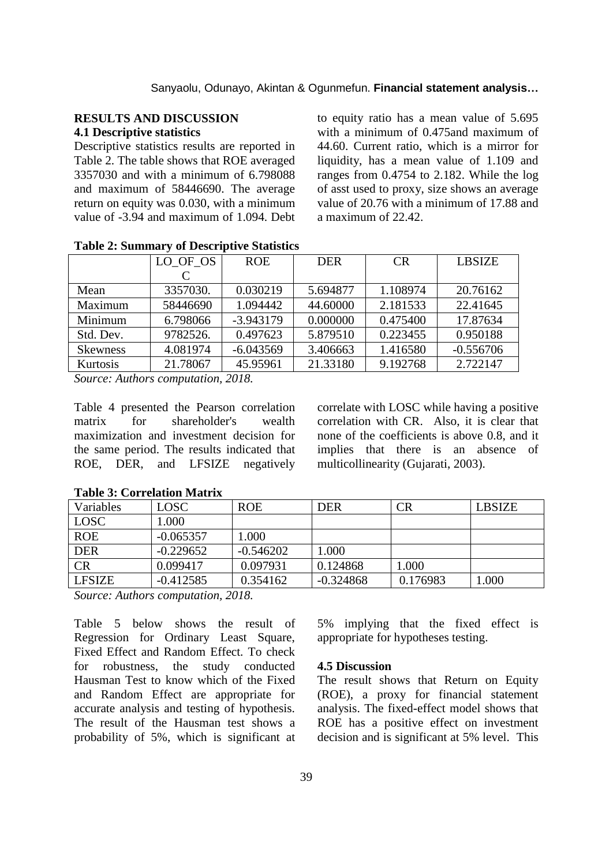### **RESULTS AND DISCUSSION 4.1 Descriptive statistics**

Descriptive statistics results are reported in Table 2. The table shows that ROE averaged 3357030 and with a minimum of 6.798088 and maximum of 58446690. The average return on equity was 0.030, with a minimum value of -3.94 and maximum of 1.094. Debt to equity ratio has a mean value of 5.695 with a minimum of 0.475 and maximum of 44.60. Current ratio, which is a mirror for liquidity, has a mean value of 1.109 and ranges from 0.4754 to 2.182. While the log of asst used to proxy, size shows an average value of 20.76 with a minimum of 17.88 and a maximum of 22.42.

|                 | LO OF OS | <b>ROE</b>  | <b>DER</b> | CR       | <b>LBSIZE</b> |
|-----------------|----------|-------------|------------|----------|---------------|
|                 |          |             |            |          |               |
| Mean            | 3357030. | 0.030219    | 5.694877   | 1.108974 | 20.76162      |
| Maximum         | 58446690 | 1.094442    | 44.60000   | 2.181533 | 22.41645      |
| Minimum         | 6.798066 | $-3.943179$ | 0.000000   | 0.475400 | 17.87634      |
| Std. Dev.       | 9782526. | 0.497623    | 5.879510   | 0.223455 | 0.950188      |
| <b>Skewness</b> | 4.081974 | $-6.043569$ | 3.406663   | 1.416580 | $-0.556706$   |
| Kurtosis        | 21.78067 | 45.95961    | 21.33180   | 9.192768 | 2.722147      |

**Table 2: Summary of Descriptive Statistics**

*Source: Authors computation, 2018.*

Table 4 presented the Pearson correlation matrix for shareholder's wealth maximization and investment decision for the same period. The results indicated that ROE, DER, and LFSIZE negatively

correlate with LOSC while having a positive correlation with CR. Also, it is clear that none of the coefficients is above 0.8, and it implies that there is an absence of multicollinearity (Gujarati, 2003).

| Variables     | <b>LOSC</b> | <b>ROE</b>  | <b>DER</b>  | CR       | <b>LBSIZE</b> |
|---------------|-------------|-------------|-------------|----------|---------------|
| <b>LOSC</b>   | 1.000       |             |             |          |               |
| <b>ROE</b>    | $-0.065357$ | 1.000       |             |          |               |
| <b>DER</b>    | $-0.229652$ | $-0.546202$ | 1.000       |          |               |
| CR            | 0.099417    | 0.097931    | 0.124868    | 1.000    |               |
| <b>LFSIZE</b> | $-0.412585$ | 0.354162    | $-0.324868$ | 0.176983 | .000          |

#### **Table 3: Correlation Matrix**

*Source: Authors computation, 2018.*

Table 5 below shows the result of Regression for Ordinary Least Square, Fixed Effect and Random Effect. To check for robustness, the study conducted Hausman Test to know which of the Fixed and Random Effect are appropriate for accurate analysis and testing of hypothesis. The result of the Hausman test shows a probability of 5%, which is significant at

5% implying that the fixed effect is appropriate for hypotheses testing.

#### **4.5 Discussion**

The result shows that Return on Equity (ROE), a proxy for financial statement analysis. The fixed-effect model shows that ROE has a positive effect on investment decision and is significant at 5% level. This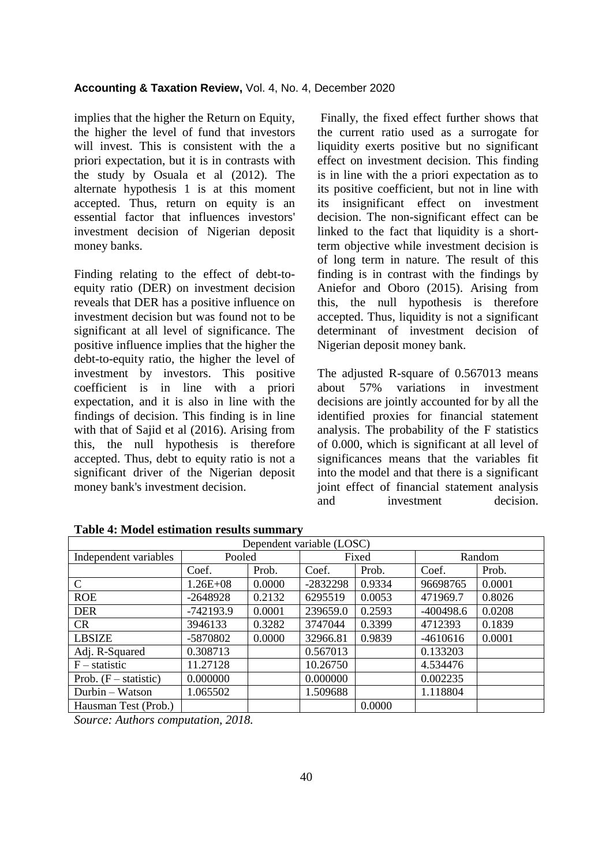implies that the higher the Return on Equity, the higher the level of fund that investors will invest. This is consistent with the a priori expectation, but it is in contrasts with the study by Osuala et al (2012). The alternate hypothesis 1 is at this moment accepted. Thus, return on equity is an essential factor that influences investors' investment decision of Nigerian deposit money banks.

Finding relating to the effect of debt-toequity ratio (DER) on investment decision reveals that DER has a positive influence on investment decision but was found not to be significant at all level of significance. The positive influence implies that the higher the debt-to-equity ratio, the higher the level of investment by investors. This positive coefficient is in line with a priori expectation, and it is also in line with the findings of decision. This finding is in line with that of Sajid et al (2016). Arising from this, the null hypothesis is therefore accepted. Thus, debt to equity ratio is not a significant driver of the Nigerian deposit money bank's investment decision.

Finally, the fixed effect further shows that the current ratio used as a surrogate for liquidity exerts positive but no significant effect on investment decision. This finding is in line with the a priori expectation as to its positive coefficient, but not in line with its insignificant effect on investment decision. The non-significant effect can be linked to the fact that liquidity is a shortterm objective while investment decision is of long term in nature. The result of this finding is in contrast with the findings by Aniefor and Oboro (2015). Arising from this, the null hypothesis is therefore accepted. Thus, liquidity is not a significant determinant of investment decision of Nigerian deposit money bank.

The adjusted R-square of 0.567013 means about 57% variations in investment decisions are jointly accounted for by all the identified proxies for financial statement analysis. The probability of the F statistics of 0.000, which is significant at all level of significances means that the variables fit into the model and that there is a significant joint effect of financial statement analysis and investment decision.

| Dependent variable (LOSC) |              |        |          |        |             |        |
|---------------------------|--------------|--------|----------|--------|-------------|--------|
| Independent variables     | Pooled       |        | Fixed    |        | Random      |        |
|                           | Coef.        | Prob.  | Coef.    | Prob.  | Coef.       | Prob.  |
| $\mathcal{C}$             | $1.26E + 08$ | 0.0000 | -2832298 | 0.9334 | 96698765    | 0.0001 |
| <b>ROE</b>                | $-2648928$   | 0.2132 | 6295519  | 0.0053 | 471969.7    | 0.8026 |
| <b>DER</b>                | $-742193.9$  | 0.0001 | 239659.0 | 0.2593 | $-400498.6$ | 0.0208 |
| CR                        | 3946133      | 0.3282 | 3747044  | 0.3399 | 4712393     | 0.1839 |
| <b>LBSIZE</b>             | -5870802     | 0.0000 | 32966.81 | 0.9839 | $-4610616$  | 0.0001 |
| Adj. R-Squared            | 0.308713     |        | 0.567013 |        | 0.133203    |        |
| $F -$ statistic           | 11.27128     |        | 10.26750 |        | 4.534476    |        |
| Prob. $(F - statistic)$   | 0.000000     |        | 0.000000 |        | 0.002235    |        |
| Durbin - Watson           | 1.065502     |        | 1.509688 |        | 1.118804    |        |
| Hausman Test (Prob.)      |              |        |          | 0.0000 |             |        |

**Table 4: Model estimation results summary**

*Source: Authors computation, 2018.*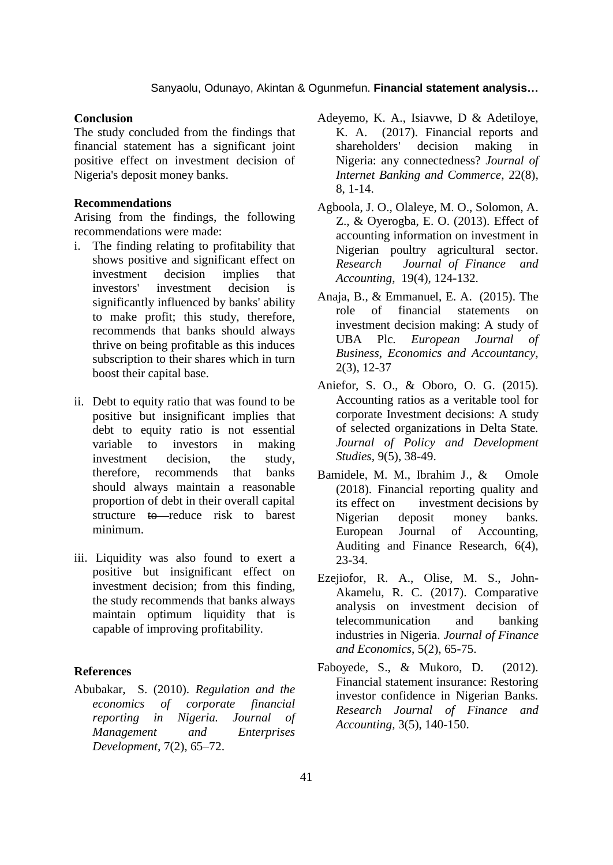#### **Conclusion**

The study concluded from the findings that financial statement has a significant joint positive effect on investment decision of Nigeria's deposit money banks.

#### **Recommendations**

Arising from the findings, the following recommendations were made:

- i. The finding relating to profitability that shows positive and significant effect on investment decision implies that investors' investment decision is significantly influenced by banks' ability to make profit; this study, therefore, recommends that banks should always thrive on being profitable as this induces subscription to their shares which in turn boost their capital base.
- ii. Debt to equity ratio that was found to be positive but insignificant implies that debt to equity ratio is not essential variable to investors in making investment decision, the study, therefore, recommends that banks should always maintain a reasonable proportion of debt in their overall capital structure to reduce risk to barest minimum.
- iii. Liquidity was also found to exert a positive but insignificant effect on investment decision; from this finding, the study recommends that banks always maintain optimum liquidity that is capable of improving profitability.

#### **References**

Abubakar, S. (2010). *Regulation and the economics of corporate financial reporting in Nigeria. Journal of Management and Enterprises Development,* 7(2), 65–72.

- Adeyemo, K. A., Isiavwe, D & Adetiloye, K. A. (2017). Financial reports and shareholders' decision making in Nigeria: any connectedness? *Journal of Internet Banking and Commerce*, 22(8), 8, 1-14.
- Agboola, J. O., Olaleye, M. O., Solomon, A. Z., & Oyerogba, E. O. (2013). Effect of accounting information on investment in Nigerian poultry agricultural sector. *Research Journal of Finance and Accounting*, 19(4), 124-132.
- Anaja, B., & Emmanuel, E. A. (2015). The role of financial statements on investment decision making: A study of UBA Plc*. European Journal of Business, Economics and Accountancy,* 2(3), 12-37
- Aniefor, S. O., & Oboro, O. G. (2015). Accounting ratios as a veritable tool for corporate Investment decisions: A study of selected organizations in Delta State*. Journal of Policy and Development Studies,* 9(5), 38-49.
- Bamidele, M. M., Ibrahim J., & Omole (2018). Financial reporting quality and its effect on investment decisions by Nigerian deposit money banks*.* European Journal of Accounting, Auditing and Finance Research, 6(4), 23-34.
- Ezejiofor, R. A., Olise, M. S., John-Akamelu, R. C. (2017). Comparative analysis on investment decision of telecommunication and banking industries in Nigeria. *Journal of Finance and Economics*, 5(2), 65-75.
- Faboyede, S., & Mukoro, D. (2012). Financial statement insurance: Restoring investor confidence in Nigerian Banks*. Research Journal of Finance and Accounting,* 3(5), 140-150.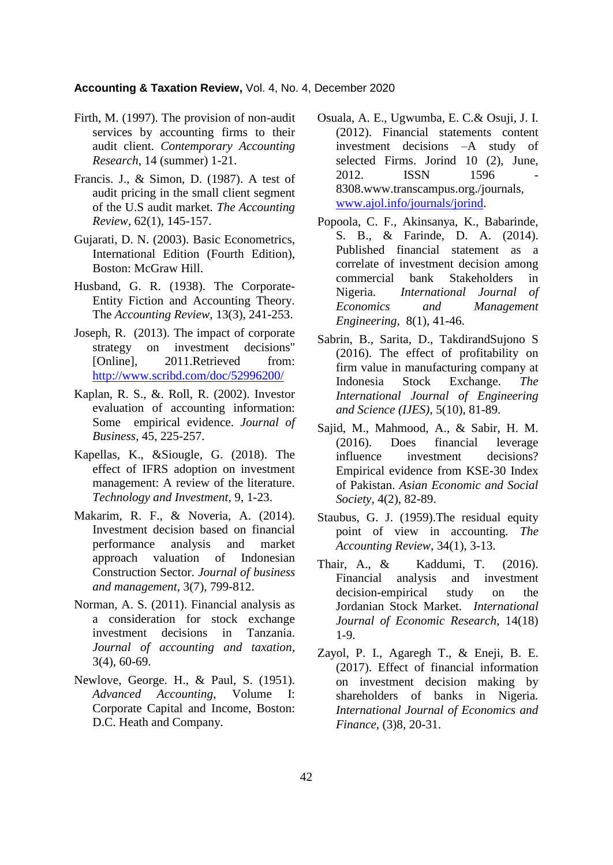- Firth, M. (1997). The provision of non-audit services by accounting firms to their audit client. *Contemporary Accounting Research*, 14 (summer) 1-21.
- Francis. J., & Simon, D. (1987). A test of audit pricing in the small client segment of the U.S audit market*. The Accounting Review*, 62(1), 145-157.
- Gujarati, D. N. (2003). Basic Econometrics, International Edition (Fourth Edition), Boston: McGraw Hill.
- Husband, G. R. (1938). The Corporate-Entity Fiction and Accounting Theory*.* The *Accounting Review*, 13(3), 241-253.
- Joseph, R. (2013). The impact of corporate strategy on investment decisions" [Online]. 2011.Retrieved from: <http://www.scribd.com/doc/52996200/>
- Kaplan, R. S., &. Roll, R. (2002). Investor evaluation of accounting information: Some empirical evidence. *Journal of Business*, 45, 225-257.
- Kapellas, K., &Siougle, G. (2018). The effect of IFRS adoption on investment management: A review of the literature. *Technology and Investment,* 9, 1-23.
- Makarim, R. F., & Noveria, A. (2014). Investment decision based on financial performance analysis and market approach valuation of Indonesian Construction Sector. *Journal of business and management*, 3(7), 799-812.
- Norman, A. S. (2011). Financial analysis as a consideration for stock exchange investment decisions in Tanzania. *Journal of accounting and taxation*, 3(4), 60-69.
- Newlove, George. H., & Paul, S. (1951). *Advanced Accounting*, Volume I: Corporate Capital and Income, Boston: D.C. Heath and Company.
- Osuala, A. E., Ugwumba, E. C.& Osuji, J. I. (2012). Financial statements content investment decisions –A study of selected Firms. Jorind 10 (2), June, 2012. **ISSN** 1596 8308.www.transcampus.org./journals, [www.ajol.info/journals/jorind.](http://www.ajol.info/journals/jorind)
- Popoola, C. F., Akinsanya, K., Babarinde, S. B., & Farinde, D. A. (2014). Published financial statement as a correlate of investment decision among commercial bank Stakeholders in Nigeria. *International Journal of Economics and Management Engineering*, 8(1), 41-46.
- Sabrin, B., Sarita, D., TakdirandSujono S (2016). The effect of profitability on firm value in manufacturing company at Indonesia Stock Exchange. *The International Journal of Engineering and Science (IJES)*, 5(10), 81-89.
- Sajid, M., Mahmood, A., & Sabir, H. M. (2016). Does financial leverage influence investment decisions? Empirical evidence from KSE-30 Index of Pakistan. *Asian Economic and Social Society*, 4(2), 82-89.
- Staubus, G. J. (1959).The residual equity point of view in accounting*. The Accounting Review*, 34(1), 3-13.
- Thair, A., & Kaddumi, T. (2016). Financial analysis and investment decision-empirical study on the Jordanian Stock Market*. International Journal of Economic Research*, 14(18) 1-9.
- Zayol, P. I., Agaregh T., & Eneji, B. E. (2017). Effect of financial information on investment decision making by shareholders of banks in Nigeria*. International Journal of Economics and Finance*, (3)8, 20-31.